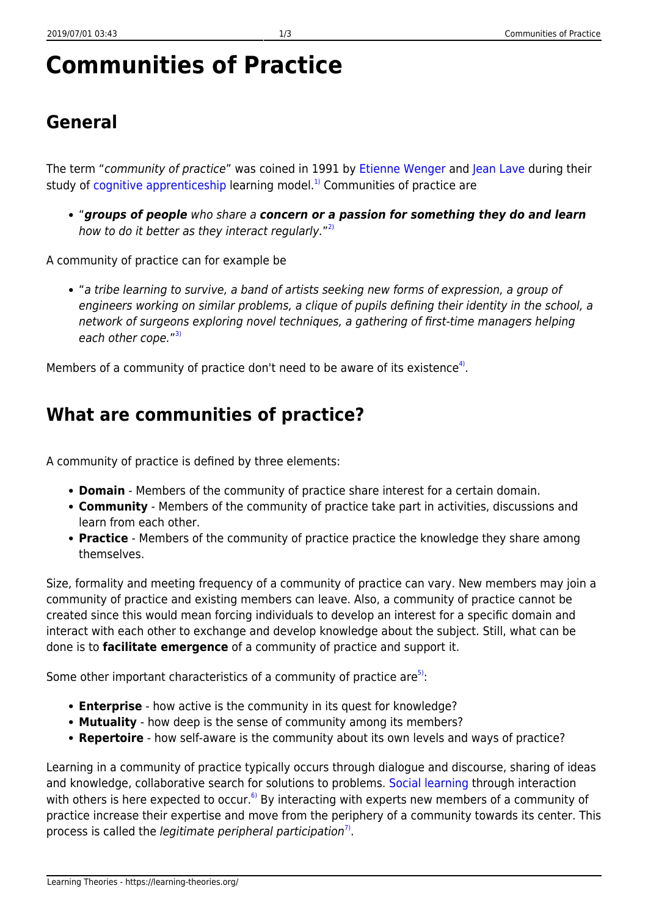# **Communities of Practice**

#### **General**

The term "community of practice" was coined in 1991 by [Etienne Wenger](http://www.ewenger.com/theory/) and [Jean Lave](http://www.ischool.berkeley.edu/people/faculty/jeanlave) during their study of [cognitive apprenticeship](https://learning-theories.org/doku.php?id=instructional_design:cognitive_apprenticeship) learning model.<sup>[1\)](#page--1-0)</sup> Communities of practice are

"*groups of people* who share a *concern or a passion for something they do and learn* how to do it better as they interact regularly."<sup>[2\)](#page--1-0)</sup>

A community of practice can for example be

"a tribe learning to survive, a band of artists seeking new forms of expression, a group of engineers working on similar problems, a clique of pupils defining their identity in the school, a network of surgeons exploring novel techniques, a gathering of first-time managers helping each other cope."<sup>[3\)](#page--1-0)</sup>

Members of a community of practice don't need to be aware of its existence<sup>[4\)](#page--1-0)</sup>.

#### **What are communities of practice?**

A community of practice is defined by three elements:

- **Domain** Members of the community of practice share interest for a certain domain.
- **Community** Members of the community of practice take part in activities, discussions and learn from each other.
- **Practice** Members of the community of practice practice the knowledge they share among themselves.

Size, formality and meeting frequency of a community of practice can vary. New members may join a community of practice and existing members can leave. Also, a community of practice cannot be created since this would mean forcing individuals to develop an interest for a specific domain and interact with each other to exchange and develop knowledge about the subject. Still, what can be done is to **facilitate emergence** of a community of practice and support it.

Some other important characteristics of a community of practice are<sup>5</sup>:

- **Enterprise** how active is the community in its quest for knowledge?
- **Mutuality** how deep is the sense of community among its members?
- **Repertoire** how self-aware is the community about its own levels and ways of practice?

Learning in a community of practice typically occurs through dialogue and discourse, sharing of ideas and knowledge, collaborative search for solutions to problems. [Social learning](https://learning-theories.org/doku.php?id=learning_theories:social_cognitive_learning_theory) through interaction with others is here expected to occur.<sup>[6\)](#page--1-0)</sup> By interacting with experts new members of a community of practice increase their expertise and move from the periphery of a community towards its center. This process is called the legitimate peripheral participation<sup>[7\)](#page--1-0)</sup>.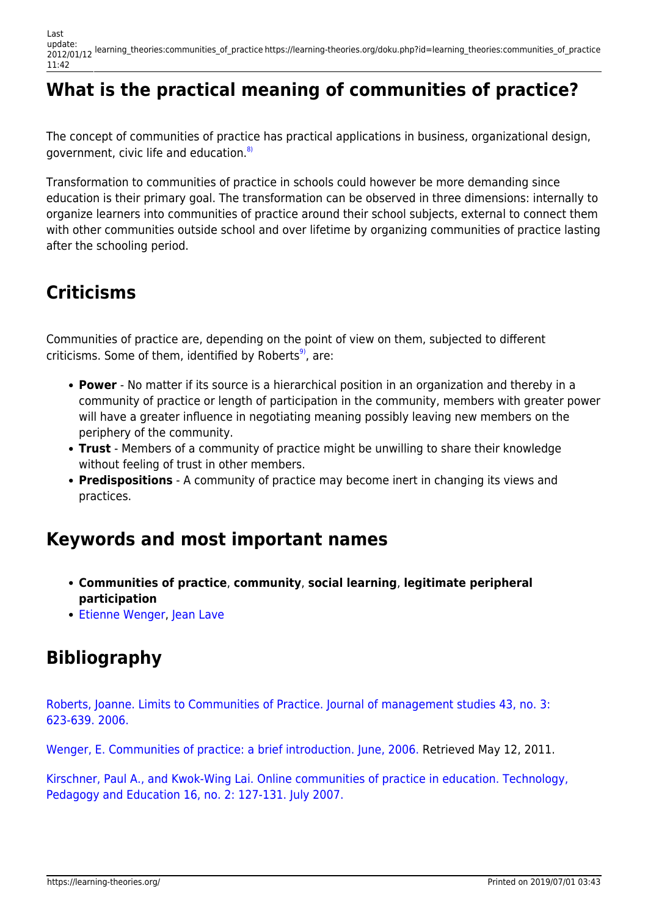Last update: 2012/01/12 learning\_theories:communities\_of\_practice https://learning-theories.org/doku.php?id=learning\_theories:communities\_of\_practice 11:42

# **What is the practical meaning of communities of practice?**

The concept of communities of practice has practical applications in business, organizational design, government, civic life and education.<sup>[8\)](#page--1-0)</sup>

Transformation to communities of practice in schools could however be more demanding since education is their primary goal. The transformation can be observed in three dimensions: internally to organize learners into communities of practice around their school subjects, external to connect them with other communities outside school and over lifetime by organizing communities of practice lasting after the schooling period.

# **Criticisms**

Communities of practice are, depending on the point of view on them, subjected to different criticisms. Some of them, identified by Roberts $9$ , are:

- **Power** No matter if its source is a hierarchical position in an organization and thereby in a community of practice or length of participation in the community, members with greater power will have a greater influence in negotiating meaning possibly leaving new members on the periphery of the community.
- **Trust** Members of a community of practice might be unwilling to share their knowledge without feeling of trust in other members.
- **Predispositions** A community of practice may become inert in changing its views and practices.

#### **Keywords and most important names**

- **Communities of practice**, **community**, **social learning**, **legitimate peripheral participation**
- [Etienne Wenger,](http://www.ewenger.com/theory/) [Jean Lave](http://www.ischool.berkeley.edu/people/faculty/jeanlave)

# **Bibliography**

[Roberts, Joanne. Limits to Communities of Practice. Journal of management studies 43, no. 3:](http://northumbria.academia.edu/JoanneRoberts/Papers/323719/Limits_to_Communities_of_Practice) [623-639. 2006.](http://northumbria.academia.edu/JoanneRoberts/Papers/323719/Limits_to_Communities_of_Practice)

[Wenger, E. Communities of practice: a brief introduction. June, 2006.](http://partnershipforchildhealth.org/mhip_intro_10_Communities_of_Practice-A_Brief_Introduction_by_Etienne_Wenger.pdf) Retrieved May 12, 2011.

[Kirschner, Paul A., and Kwok-Wing Lai. Online communities of practice in education. Technology,](http://www.ou.nl/Docs/Expertise/NELLL/publicaties/Online%20communities%20of%20practice%20in%20education.pdf) [Pedagogy and Education 16, no. 2: 127-131. July 2007.](http://www.ou.nl/Docs/Expertise/NELLL/publicaties/Online%20communities%20of%20practice%20in%20education.pdf)